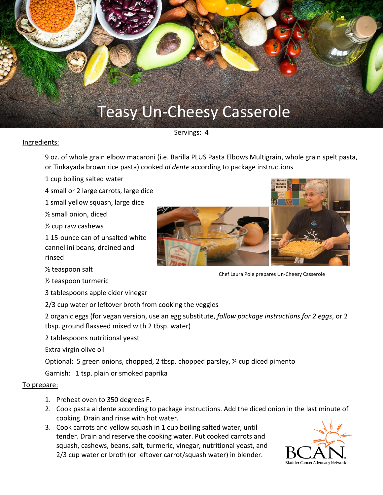

Servings: 4

## Ingredients:

9 oz. of whole grain elbow macaroni (i.e. Barilla PLUS Pasta Elbows Multigrain, whole grain spelt pasta, or Tinkayada brown rice pasta) cooked *al dente* according to package instructions

1 cup boiling salted water

4 small or 2 large carrots, large dice

1 small yellow squash, large dice

½ small onion, diced

½ cup raw cashews

1 15-ounce can of unsalted white cannellini beans, drained and rinsed

½ teaspoon salt

½ teaspoon turmeric

3 tablespoons apple cider vinegar

2/3 cup water or leftover broth from cooking the veggies

2 organic eggs (for vegan version, use an egg substitute, *follow package instructions for 2 eggs*, or 2 tbsp. ground flaxseed mixed with 2 tbsp. water)

2 tablespoons nutritional yeast

Extra virgin olive oil

Optional: 5 green onions, chopped, 2 tbsp. chopped parsley, ¼ cup diced pimento

Garnish: 1 tsp. plain or smoked paprika

## To prepare:

- 1. Preheat oven to 350 degrees F.
- 2. Cook pasta al dente according to package instructions. Add the diced onion in the last minute of cooking. Drain and rinse with hot water.
- 3. Cook carrots and yellow squash in 1 cup boiling salted water, until tender. Drain and reserve the cooking water. Put cooked carrots and squash, cashews, beans, salt, turmeric, vinegar, nutritional yeast, and 2/3 cup water or broth (or leftover carrot/squash water) in blender.







Chef Laura Pole prepares Un-Cheesy Casserole